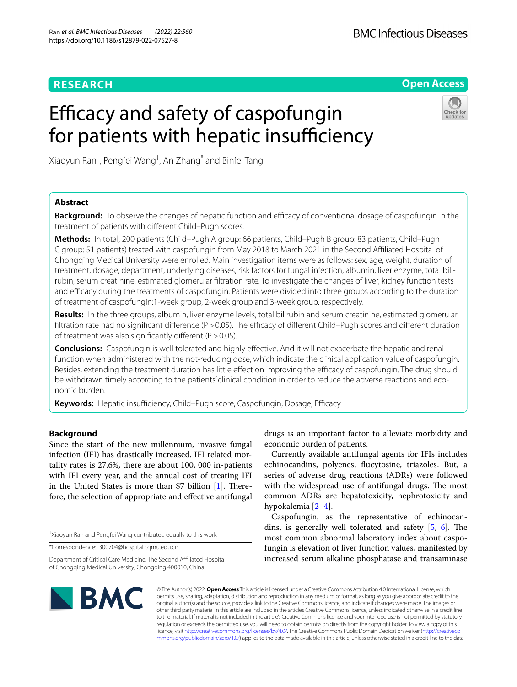# **RESEARCH**

**Open Access**

# Efficacy and safety of caspofungin for patients with hepatic insufficiency

Xiaoyun Ran† , Pengfei Wang† , An Zhang\* and Binfei Tang

# **Abstract**

**Background:** To observe the changes of hepatic function and efficacy of conventional dosage of caspofungin in the treatment of patients with diferent Child–Pugh scores.

**Methods:** In total, 200 patients (Child–Pugh A group: 66 patients, Child–Pugh B group: 83 patients, Child–Pugh C group: 51 patients) treated with caspofungin from May 2018 to March 2021 in the Second Afliated Hospital of Chongqing Medical University were enrolled. Main investigation items were as follows: sex, age, weight, duration of treatment, dosage, department, underlying diseases, risk factors for fungal infection, albumin, liver enzyme, total bilirubin, serum creatinine, estimated glomerular fltration rate. To investigate the changes of liver, kidney function tests and efficacy during the treatments of caspofungin. Patients were divided into three groups according to the duration of treatment of caspofungin:1-week group, 2-week group and 3-week group, respectively.

**Results:** In the three groups, albumin, liver enzyme levels, total bilirubin and serum creatinine, estimated glomerular filtration rate had no significant difference ( $P > 0.05$ ). The efficacy of different Child–Pugh scores and different duration of treatment was also significantly different ( $P > 0.05$ ).

**Conclusions:** Caspofungin is well tolerated and highly efective. And it will not exacerbate the hepatic and renal function when administered with the not-reducing dose, which indicate the clinical application value of caspofungin. Besides, extending the treatment duration has little effect on improving the efficacy of caspofungin. The drug should be withdrawn timely according to the patients' clinical condition in order to reduce the adverse reactions and economic burden.

Keywords: Hepatic insufficiency, Child–Pugh score, Caspofungin, Dosage, Efficacy

# **Background**

Since the start of the new millennium, invasive fungal infection (IFI) has drastically increased. IFI related mortality rates is 27.6%, there are about 100, 000 in-patients with IFI every year, and the annual cost of treating IFI in the United States is more than  $$7$  billion [\[1](#page-6-0)]. Therefore, the selection of appropriate and efective antifungal

† Xiaoyun Ran and Pengfei Wang contributed equally to this work

\*Correspondence: 300704@hospital.cqmu.edu.cn

Department of Critical Care Medicine, The Second Afliated Hospital of Chongqing Medical University, Chongqing 400010, China

drugs is an important factor to alleviate morbidity and economic burden of patients.

Currently available antifungal agents for IFIs includes echinocandins, polyenes, fucytosine, triazoles. But, a series of adverse drug reactions (ADRs) were followed with the widespread use of antifungal drugs. The most common ADRs are hepatotoxicity, nephrotoxicity and hypokalemia [\[2](#page-6-1)[–4](#page-6-2)].

Caspofungin, as the representative of echinocandins, is generally well tolerated and safety  $[5, 6]$  $[5, 6]$  $[5, 6]$ . The most common abnormal laboratory index about caspofungin is elevation of liver function values, manifested by increased serum alkaline phosphatase and transaminase



© The Author(s) 2022. **Open Access** This article is licensed under a Creative Commons Attribution 4.0 International License, which permits use, sharing, adaptation, distribution and reproduction in any medium or format, as long as you give appropriate credit to the original author(s) and the source, provide a link to the Creative Commons licence, and indicate if changes were made. The images or other third party material in this article are included in the article's Creative Commons licence, unless indicated otherwise in a credit line to the material. If material is not included in the article's Creative Commons licence and your intended use is not permitted by statutory regulation or exceeds the permitted use, you will need to obtain permission directly from the copyright holder. To view a copy of this licence, visit [http://creativecommons.org/licenses/by/4.0/.](http://creativecommons.org/licenses/by/4.0/) The Creative Commons Public Domain Dedication waiver ([http://creativeco](http://creativecommons.org/publicdomain/zero/1.0/) [mmons.org/publicdomain/zero/1.0/](http://creativecommons.org/publicdomain/zero/1.0/)) applies to the data made available in this article, unless otherwise stated in a credit line to the data.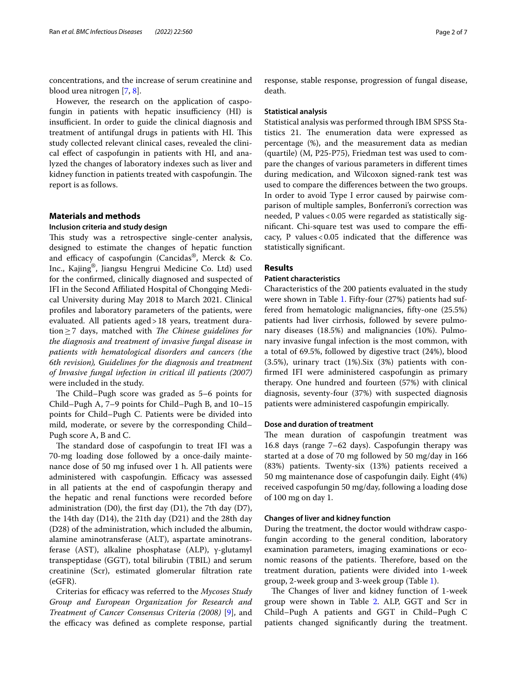concentrations, and the increase of serum creatinine and blood urea nitrogen [\[7](#page-6-5), [8\]](#page-6-6).

However, the research on the application of caspofungin in patients with hepatic insufficiency (HI) is insufficient. In order to guide the clinical diagnosis and treatment of antifungal drugs in patients with HI. This study collected relevant clinical cases, revealed the clinical efect of caspofungin in patients with HI, and analyzed the changes of laboratory indexes such as liver and kidney function in patients treated with caspofungin. The report is as follows.

# **Materials and methods**

# **Inclusion criteria and study design**

This study was a retrospective single-center analysis, designed to estimate the changes of hepatic function and efficacy of caspofungin (Cancidas®, Merck & Co. Inc., Kajing®, Jiangsu Hengrui Medicine Co. Ltd) used for the confrmed, clinically diagnosed and suspected of IFI in the Second Afliated Hospital of Chongqing Medical University during May 2018 to March 2021. Clinical profles and laboratory parameters of the patients, were evaluated. All patients aged>18 years, treatment duration≥7 days, matched with *The Chinese guidelines for the diagnosis and treatment of invasive fungal disease in patients with hematological disorders and cancers (the 6th revision), Guidelines for the diagnosis and treatment of Invasive fungal infection in critical ill patients (2007)* were included in the study.

The Child–Pugh score was graded as 5–6 points for Child–Pugh A, 7–9 points for Child–Pugh B, and 10–15 points for Child–Pugh C. Patients were be divided into mild, moderate, or severe by the corresponding Child– Pugh score A, B and C.

The standard dose of caspofungin to treat IFI was a 70-mg loading dose followed by a once-daily maintenance dose of 50 mg infused over 1 h. All patients were administered with caspofungin. Efficacy was assessed in all patients at the end of caspofungin therapy and the hepatic and renal functions were recorded before administration (D0), the frst day (D1), the 7th day (D7), the 14th day (D14), the 21th day (D21) and the 28th day (D28) of the administration, which included the albumin, alamine aminotransferase (ALT), aspartate aminotransferase (AST), alkaline phosphatase (ALP), γ-glutamyl transpeptidase (GGT), total bilirubin (TBIL) and serum creatinine (Scr), estimated glomerular fltration rate (eGFR).

Criterias for efficacy was referred to the *Mycoses Study Group and European Organization for Research and Treatment of Cancer Consensus Criteria (2008)* [\[9](#page-6-7)], and the efficacy was defined as complete response, partial response, stable response, progression of fungal disease, death.

## **Statistical analysis**

Statistical analysis was performed through IBM SPSS Statistics 21. The enumeration data were expressed as percentage (%), and the measurement data as median (quartile) (M, P25-P75), Friedman test was used to compare the changes of various parameters in diferent times during medication, and Wilcoxon signed-rank test was used to compare the diferences between the two groups. In order to avoid Type I error caused by pairwise comparison of multiple samples, Bonferroni's correction was needed, P values<0.05 were regarded as statistically significant. Chi-square test was used to compare the efficacy, P values<0.05 indicated that the diference was statistically signifcant.

# **Results**

# **Patient characteristics**

Characteristics of the 200 patients evaluated in the study were shown in Table [1](#page-2-0). Fifty-four (27%) patients had suffered from hematologic malignancies, ffty-one (25.5%) patients had liver cirrhosis, followed by severe pulmonary diseases (18.5%) and malignancies (10%). Pulmonary invasive fungal infection is the most common, with a total of 69.5%, followed by digestive tract (24%), blood (3.5%), urinary tract (1%).Six (3%) patients with confrmed IFI were administered caspofungin as primary therapy. One hundred and fourteen (57%) with clinical diagnosis, seventy-four (37%) with suspected diagnosis patients were administered caspofungin empirically.

#### **Dose and duration of treatment**

The mean duration of caspofungin treatment was 16.8 days (range 7–62 days). Caspofungin therapy was started at a dose of 70 mg followed by 50 mg/day in 166 (83%) patients. Twenty-six (13%) patients received a 50 mg maintenance dose of caspofungin daily. Eight (4%) received caspofungin 50 mg/day, following a loading dose of 100 mg on day 1.

## **Changes of liver and kidney function**

During the treatment, the doctor would withdraw caspofungin according to the general condition, laboratory examination parameters, imaging examinations or economic reasons of the patients. Therefore, based on the treatment duration, patients were divided into 1-week group, 2-week group and 3-week group (Table [1](#page-2-0)).

The Changes of liver and kidney function of 1-week group were shown in Table [2.](#page-3-0) ALP, GGT and Scr in Child–Pugh A patients and GGT in Child–Pugh C patients changed signifcantly during the treatment.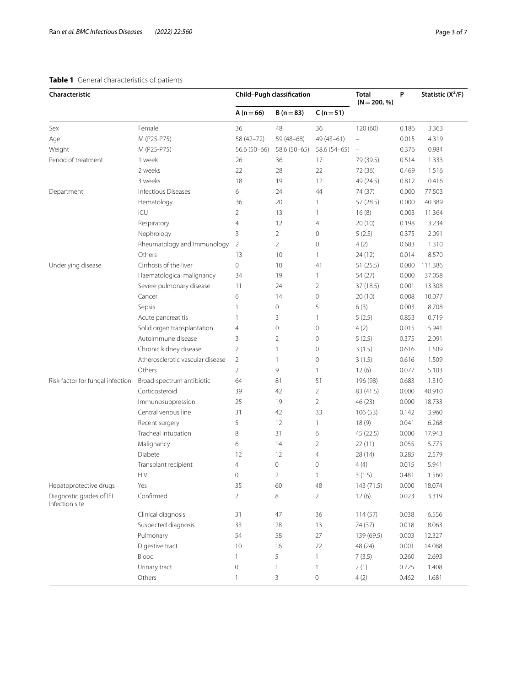# <span id="page-2-0"></span>**Table 1** General characteristics of patients

| Characteristic                             |                                  | Child-Pugh classification |                | <b>Total</b><br>$(N = 200, %)$ | P          | Statistic $(X^2/F)$ |         |
|--------------------------------------------|----------------------------------|---------------------------|----------------|--------------------------------|------------|---------------------|---------|
|                                            |                                  | $A(n=66)$                 | $B(n=83)$      | $C(n=51)$                      |            |                     |         |
| Sex                                        | Female                           | 36                        | 48             | 36                             | 120 (60)   | 0.186               | 3.363   |
| Age                                        | M (P25-P75)                      | 58 (42-72)                | $59(48-68)$    | $49(43 - 61)$                  |            | 0.015               | 4.319   |
| Weight                                     | M (P25-P75)                      | 56.6 (50-66)              | 58.6 (50-65)   | 58.6 (54-65)                   | $\equiv$   | 0.376               | 0.984   |
| Period of treatment                        | 1 week                           | 26                        | 36             | 17                             | 79 (39.5)  | 0.514               | 1.333   |
|                                            | 2 weeks                          | 22                        | 28             | 22                             | 72 (36)    | 0.469               | 1.516   |
|                                            | 3 weeks                          | 18                        | 19             | 12                             | 49 (24.5)  | 0.812               | 0.416   |
| Department                                 | Infectious Diseases              | 6                         | 24             | 44                             | 74 (37)    | 0.000               | 77.503  |
|                                            | Hematology                       | 36                        | 20             | $\mathbf{1}$                   | 57 (28.5)  | 0.000               | 40.389  |
|                                            | ICU                              | $\overline{2}$            | 13             | $\mathbf{1}$                   | 16(8)      | 0.003               | 11.364  |
|                                            | Respiratory                      | $\overline{4}$            | 12             | 4                              | 20 (10)    | 0.198               | 3.234   |
|                                            | Nephrology                       | 3                         | $\overline{2}$ | 0                              | 5(2.5)     | 0.375               | 2.091   |
|                                            | Rheumatology and Immunology      | $\overline{2}$            | $\overline{2}$ | $\mathbf 0$                    | 4(2)       | 0.683               | 1.310   |
|                                            | Others                           | 13                        | 10             | 1                              | 24(12)     | 0.014               | 8.570   |
| Underlying disease                         | Cirrhosis of the liver           | $\mathbf 0$               | 10             | 41                             | 51(25.5)   | 0.000               | 111.386 |
|                                            | Haematological malignancy        | 34                        | 19             | 1                              | 54 (27)    | 0.000               | 37.058  |
|                                            | Severe pulmonary disease         | 11                        | 24             | 2                              | 37 (18.5)  | 0.001               | 13.308  |
|                                            | Cancer                           | 6                         | 14             | $\mathsf{O}\xspace$            | 20(10)     | 0.008               | 10.077  |
|                                            | Sepsis                           | 1                         | $\mathbf 0$    | 5                              | 6(3)       | 0.003               | 8.708   |
|                                            | Acute pancreatitis               | 1                         | 3              | 1                              | 5(2.5)     | 0.853               | 0.719   |
|                                            | Solid organ transplantation      | $\overline{4}$            | $\mathbf 0$    | $\circ$                        | 4(2)       | 0.015               | 5.941   |
|                                            | Autoimmune disease               | 3                         | $\overline{2}$ | 0                              | 5(2.5)     | 0.375               | 2.091   |
|                                            | Chronic kidney disease           | $\overline{2}$            | $\mathbf{1}$   | 0                              | 3(1.5)     | 0.616               | 1.509   |
|                                            | Atherosclerotic vascular disease | $\overline{2}$            | $\overline{1}$ | 0                              | 3(1.5)     | 0.616               | 1.509   |
|                                            | Others                           | $\overline{2}$            | 9              | 1                              | 12(6)      | 0.077               | 5.103   |
| Risk-factor for fungal infection           | Broad-spectrum antibiotic        | 64                        | 81             | 51                             | 196 (98)   | 0.683               | 1.310   |
|                                            | Corticosteroid                   | 39                        | 42             | $\overline{2}$                 | 83 (41.5)  | 0.000               | 40.910  |
|                                            | Immunosuppression                | 25                        | 19             | 2                              | 46 (23)    | 0.000               | 18.733  |
|                                            | Central venous line              | 31                        | 42             | 33                             | 106(53)    | 0.142               | 3.960   |
|                                            | Recent surgery                   | 5                         | 12             | 1                              | 18(9)      | 0.041               | 6.268   |
|                                            | Tracheal intubation              | 8                         | 31             | 6                              | 45 (22.5)  | 0.000               | 17.943  |
|                                            | Malignancy                       | 6                         | 14             | $\overline{2}$                 | 22(11)     | 0.055               | 5.775   |
|                                            | Diabete                          | 12                        | 12             | 4                              | 28 (14)    | 0.285               | 2.579   |
|                                            | Transplant recipient             | 4                         | $\mathbf 0$    | 0                              | 4(4)       | 0.015               | 5.941   |
|                                            | <b>HIV</b>                       | 0                         | 2              | 1                              | 3(1.5)     | 0.481               | 1.560   |
| Hepatoprotective drugs                     | Yes                              | 35                        | 60             | 48                             | 143 (71.5) | 0.000               | 18.074  |
| Diagnostic grades of IFI<br>Infection site | Confirmed                        | 2                         | 8              | $\overline{2}$                 | 12(6)      | 0.023               | 3.319   |
|                                            | Clinical diagnosis               | 31                        | 47             | 36                             | 114(57)    | 0.038               | 6.556   |
|                                            | Suspected diagnosis              | 33                        | 28             | 13                             | 74 (37)    | 0.018               | 8.063   |
|                                            | Pulmonary                        | 54                        | 58             | 27                             | 139 (69.5) | 0.003               | 12.327  |
|                                            | Digestive tract                  | 10                        | 16             | 22                             | 48 (24)    | 0.001               | 14.088  |
|                                            | Blood                            | 1                         | 5              | 1                              | 7(3.5)     | 0.260               | 2.693   |
|                                            | Urinary tract                    | $\mathbf 0$               | 1              |                                | 2(1)       | 0.725               | 1.408   |
|                                            | Others                           | $\mathbf{1}$              | 3              | 0                              | 4(2)       | 0.462               | 1.681   |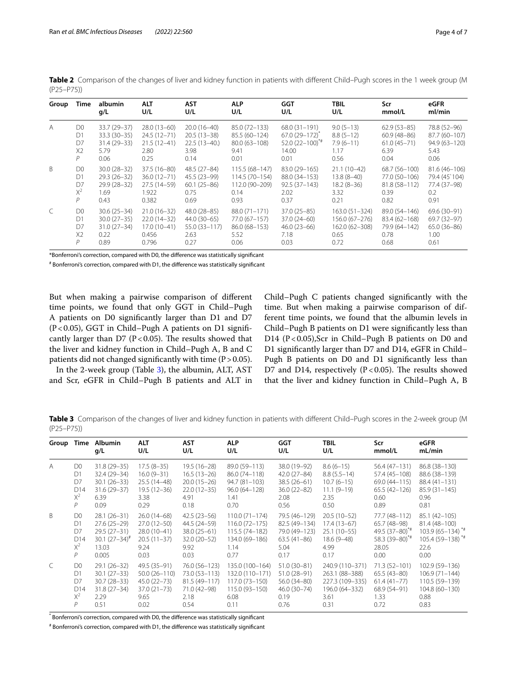| Group          | Time           | albumin<br>q/L  | <b>ALT</b><br>U/L | <b>AST</b><br>U/L | <b>ALP</b><br>U/L | <b>GGT</b><br>U/L  | <b>TBIL</b><br>U/L | Scr<br>mmol/L   | eGFR<br>ml/min  |
|----------------|----------------|-----------------|-------------------|-------------------|-------------------|--------------------|--------------------|-----------------|-----------------|
| $\overline{A}$ | D <sub>0</sub> | 33.7 (29-37)    | $28.0(13-60)$     | $20.0(16-40)$     | 85.0 (72-133)     | 68.0 (31-191)      | $9.0(5-13)$        | $62.9(53-85)$   | 78.8 (52-96)    |
|                | D1             | $33.3(30-35)$   | $24.5(12 - 71)$   | $20.5(13-38)$     | 85.5 (60-124)     | $67.0(29-172)^{n}$ | $8.8(5-12)$        | $60.9(48 - 86)$ | 87.7 (60-107)   |
|                | D7             | $31.4(29-33)$   | $21.5(12-41)$     | $22.5(13-40.)$    | $80.0(63 - 108)$  | $52.0(22-100)^{4}$ | $7.9(6-11)$        | $61.0(45 - 71)$ | 94.9 (63-120)   |
|                | X <sub>2</sub> | 5.79            | 2.80              | 3.98              | 9.41              | 14.00              | 1.17               | 6.39            | 5.43            |
|                | P              | 0.06            | 0.25              | 0.14              | 0.01              | 0.01               | 0.56               | 0.04            | 0.06            |
| B              | D <sub>0</sub> | $30.0(28-32)$   | $37.5(16-80)$     | 48.5 (27-84)      | $115.5(68 - 147)$ | 83.0 (29-165)      | $21.1(10-42)$      | 68.7 (56-100)   | 81.6 (46-106)   |
|                | D1             | $29.3(26-32)$   | $36.0(12 - 71)$   | 45.5 (23-99)      | $114.5(70-154)$   | 88.0 (34-153)      | $13.8(8-40)$       | 77.0 (50-106)   | 79.4 (45'104)   |
|                | D7             | 29.9 (28-32)    | 27.5 (14-59)      | $60.1(25-86)$     | 112.0 (90-209)    | $92.5(37-143)$     | $18.2(8-36)$       | 81.8 (58-112)   | 77.4 (37-98)    |
|                | $X^2$          | 1.69            | 1.922             | 0.75              | 0.14              | 2.02               | 3.32               | 0.39            | 0.2             |
|                | P              | 0.43            | 0.382             | 0.69              | 0.93              | 0.37               | 0.21               | 0.82            | 0.91            |
| $\subset$      | D <sub>0</sub> | $30.6(25-34)$   | $21.0(16-32)$     | $48.0(28-85)$     | 88.0 (71-171)     | $37.0(25-85)$      | $163.0(51 - 324)$  | 89.0 (54-146)   | 69.6 (30-91)    |
|                | D1             | $30.0(27 - 35)$ | $22.0(14-32)$     | $44.0(30-65)$     | 77.0 (67-157)     | $37.0(24-60)$      | 156.0 (67-276)     | 83.4 (62-168)   | 69.7 (32-97)    |
|                | D7             | $31.0(27 - 34)$ | $17.0(10-41)$     | 55.0 (33-117)     | 86.0 (68-153)     | $46.0(23-66)$      | 162.0 (62-308)     | 79.9 (64-142)   | $65.0(36 - 86)$ |
|                | X <sub>2</sub> | 0.22            | 0.456             | 2.63              | 5.52              | 7.18               | 0.65               | 0.78            | 1.00            |
|                | P              | 0.89            | 0.796             | 0.27              | 0.06              | 0.03               | 0.72               | 0.68            | 0.61            |

<span id="page-3-0"></span>Table 2 Comparison of the changes of liver and kidney function in patients with different Child–Pugh scores in the 1 week group (M (P25–P75))

\*Bonferroni's correction, compared with D0, the diference was statistically signifcant

# Bonferroni's correction, compared with D1, the diference was statistically signifcant

But when making a pairwise comparison of diferent time points, we found that only GGT in Child–Pugh A patients on D0 signifcantly larger than D1 and D7 (P < 0.05), GGT in Child–Pugh A patients on D1 significantly larger than D7 ( $P < 0.05$ ). The results showed that the liver and kidney function in Child–Pugh A, B and C patients did not changed significantly with time  $(P > 0.05)$ .

In the 2-week group (Table [3\)](#page-3-1), the albumin, ALT, AST and Scr, eGFR in Child–Pugh B patients and ALT in Child–Pugh C patients changed signifcantly with the time. But when making a pairwise comparison of different time points, we found that the albumin levels in Child–Pugh B patients on D1 were signifcantly less than D14 (P<0.05), Scr in Child–Pugh B patients on D0 and D1 signifcantly larger than D7 and D14, eGFR in Child– Pugh B patients on D0 and D1 signifcantly less than D7 and D14, respectively ( $P < 0.05$ ). The results showed that the liver and kidney function in Child–Pugh A, B

<span id="page-3-1"></span>**Table 3** Comparison of the changes of liver and kidney function in patients with diferent Child–Pugh scores in the 2-week group (M (P25–P75))

| Group Time   |                | Albumin<br>g/L        | <b>ALT</b><br>U/L | <b>AST</b><br>U/L | <b>ALP</b><br>U/L | <b>GGT</b><br>U/L | <b>TBIL</b><br>U/L | Scr<br>mmol/L     | eGFR<br>mL/min        |
|--------------|----------------|-----------------------|-------------------|-------------------|-------------------|-------------------|--------------------|-------------------|-----------------------|
| $\mathsf{A}$ | D <sub>0</sub> | 31.8 (29 - 35)        | $17.5(8-35)$      | $19.5(16-28)$     | 89.0 (59-113)     | 38.0 (19-92)      | $8.6(6-15)$        | 56.4 (47-131)     | 86.8 (38-130)         |
|              | D1             | 32.4 (29-34)          | $16.0(9-31)$      | $16.5(13-26)$     | 86.0 (74-118)     | $42.0(27-84)$     | $8.8(5.5-14)$      | 57.4 (45-108)     | 88.6 (38-139)         |
|              | D7             | $30.1(26-33)$         | $25.5(14-48)$     | $20.0(15-26)$     | $94.7(81 - 103)$  | $38.5(26-61)$     | $10.7(6-15)$       | 69.0 (44-115)     | 88.4 (41-131)         |
|              | D14            | 31.6 (29-37)          | $19.5(12 - 36)$   | $22.0(12-35)$     | $96.0(64 - 128)$  | $36.0(22 - 82)$   | $11.1(9-19)$       | $65.5(42 - 126)$  | $85.9(31 - 145)$      |
|              | $X^2$          | 6.39                  | 3.38              | 4.91              | 1.41              | 2.08              | 2.35               | 0.60              | 0.96                  |
|              | Р              | 0.09                  | 0.29              | 0.18              | 0.70              | 0.56              | 0.50               | 0.89              | 0.81                  |
| <sub>B</sub> | D <sub>0</sub> | $28.1(26-31)$         | $26.0(14-68)$     | $42.5(23-56)$     | $110.0(71 - 174)$ | 79.5 (46-129)     | $20.5(10-52)$      | 77.7 (48-112)     | 85.1 (42-105)         |
|              | D1             | $27.6(25-29)$         | $27.0(12 - 50)$   | 44.5 (24-59)      | $116.0(72 - 175)$ | 82.5 (49-134)     | $17.4(13-67)$      | 65.7 (48-98)      | 81.4 (48-100)         |
|              | D7             | $29.5(27-31)$         | $28.0(10-41)$     | $38.0(25-61)$     | 115.5 (74-182)    | 79.0 (49-123)     | $25.1(10-55)$      | $49.5(37-80)^{4}$ | $103.9(65 - 134)^{4}$ |
|              | D14            | $30.1 (27 - 34)^{\#}$ | $20.5(11-37)$     | $32.0(20-52)$     | 134.0 (69-186)    | $63.5(41-86)$     | $18.6(9 - 48)$     | 58.3 (39-80)*#    | 105.4 (59-138) **     |
|              | $X^2$          | 13.03                 | 9.24              | 9.92              | 1.14              | 5.04              | 4.99               | 28.05             | 22.6                  |
|              | Р              | 0.005                 | 0.03              | 0.03              | 0.77              | 0.17              | 0.17               | 0.00              | 0.00                  |
|              | D <sub>0</sub> | $29.1(26-32)$         | 49.5 (35-91)      | 76.0 (56-123)     | 135.0 (100-164)   | $51.0(30-81)$     | 240.9 (110-371)    | 71.3 (52-101)     | 102.9 (59-136)        |
|              | D1             | $30.1(27-33)$         | $50.0(26 - 110)$  | 73.0 (53-113)     | 132.0 (110-171)   | $51.0(28-91)$     | 263.1 (88-388)     | $65.5(43-80)$     | $106.9(71-144)$       |
|              | D7             | $30.7(28 - 33)$       | $45.0(22 - 73)$   | 81.5 (49-117)     | 117.0 (73-150)    | $56.0(34-80)$     | 227.3 (109-335)    | $61.4(41-77)$     | 110.5 (59-139)        |
|              | D14            | $31.8(27 - 34)$       | $37.0(21 - 73)$   | 71.0 (42-98)      | 115.0 (93-150)    | $46.0(30-74)$     | 196.0 (64-332)     | 68.9 (54-91)      | 104.8 (60-130)        |
|              | $X^2$          | 2.29                  | 9.65              | 2.18              | 6.08              | 0.19              | 3.61               | 1.33              | 0.88                  |
|              | Р              | 0.51                  | 0.02              | 0.54              | 0.11              | 0.76              | 0.31               | 0.72              | 0.83                  |

\* Bonferroni's correction, compared with D0, the diference was statistically signifcant

# Bonferroni's correction, compared with D1, the diference was statistically signifcant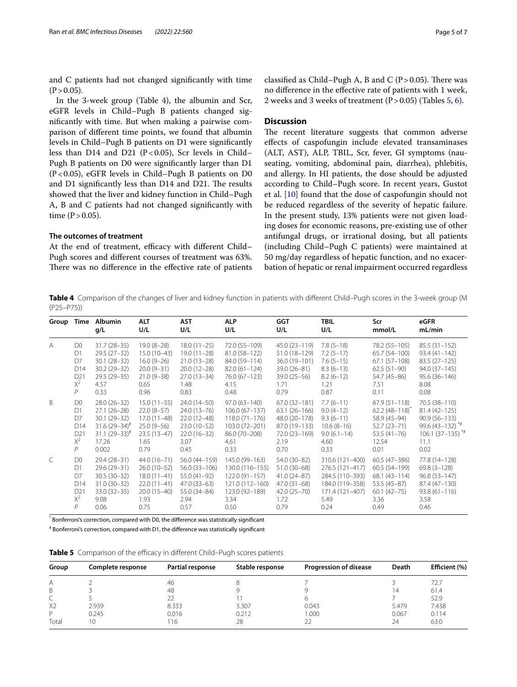and C patients had not changed signifcantly with time  $(P > 0.05)$ .

In the 3-week group (Table [4](#page-4-0)), the albumin and Scr, eGFR levels in Child–Pugh B patients changed signifcantly with time. But when making a pairwise comparison of diferent time points, we found that albumin levels in Child–Pugh B patients on D1 were signifcantly less than D14 and D21 ( $P < 0.05$ ), Scr levels in Child– Pugh B patients on D0 were signifcantly larger than D1 (P<0.05), eGFR levels in Child–Pugh B patients on D0 and D1 significantly less than D14 and D21. The results showed that the liver and kidney function in Child–Pugh A, B and C patients had not changed signifcantly with time  $(P > 0.05)$ .

# **The outcomes of treatment**

At the end of treatment, efficacy with different Child-Pugh scores and diferent courses of treatment was 63%. There was no difference in the effective rate of patients

classified as Child–Pugh A, B and C ( $P > 0.05$ ). There was no diference in the efective rate of patients with 1 week, 2 weeks and 3 weeks of treatment  $(P>0.05)$  (Tables [5,](#page-4-1) [6](#page-5-0)).

# **Discussion**

The recent literature suggests that common adverse efects of caspofungin include elevated transaminases (ALT, AST), ALP, TBIL, Scr, fever, GI symptoms (nauseating, vomiting, abdominal pain, diarrhea), phlebitis, and allergy. In HI patients, the dose should be adjusted according to Child–Pugh score. In recent years, Gustot et al. [[10\]](#page-6-8) found that the dose of caspofungin should not be reduced regardless of the severity of hepatic failure. In the present study, 13% patients were not given loading doses for economic reasons, pre-existing use of other antifungal drugs, or irrational dosing, but all patients (including Child–Pugh C patients) were maintained at 50 mg/day regardless of hepatic function, and no exacerbation of hepatic or renal impairment occurred regardless

<span id="page-4-0"></span>**Table 4** Comparison of the changes of liver and kidney function in patients with diferent Child–Pugh scores in the 3-week group (M (P25–P75))

| Group          | Time            | Albumin<br>q/L        | <b>ALT</b><br>U/L | <b>AST</b><br>U/L | <b>ALP</b><br>U/L  | <b>GGT</b><br>U/L | <b>TBIL</b><br>U/L | Scr<br>mmol/L        | eGFR<br>mL/min       |
|----------------|-----------------|-----------------------|-------------------|-------------------|--------------------|-------------------|--------------------|----------------------|----------------------|
| $\overline{A}$ | D <sub>0</sub>  | $31.7(28-35)$         | $19.0(8-28)$      | $18.0(11 - 25)$   | 72.0 (55-109)      | 45.0 (23-119)     | $7.8(5-18)$        | 78.2 (55-105)        | 85.5 (31-152)        |
|                | D1              | $29.5(27-32)$         | $15.0(10-43)$     | $19.0(11 - 28)$   | 81.0 (58-122)      | 51.0 (18-129)     | $7.2(5-17)$        | 65.7 (54-100)        | $93.4(41 - 142)$     |
|                | D7              | $30.1(28-32)$         | $16.0(9-26)$      | $21.0(13-28)$     | 84.0 (59-114)      | 36.0 (19-101)     | $7.6(5-15)$        | $67.1(57-108)$       | 83.5 (27-125)        |
|                | D <sub>14</sub> | $30.2(29 - 32)$       | $20.0(9-31)$      | $20.0(12-28)$     | $82.0(61 - 124)$   | 39.0 (26-81)      | $8.3(6-13)$        | $62.5(51-90)$        | 94.0 (37-145)        |
|                | D <sub>21</sub> | 29.5 (29-35)          | $21.0(9 - 38)$    | $27.0(13-34)$     | 76.0 (67-123)      | $39.0(25 - 56)$   | $8.2(6-12)$        | 54.7 (45-86)         | $95.6(36 - 146)$     |
|                | $X^2$           | 4.57                  | 0.65              | 1.48              | 4.15               | 1.71              | 1.21               | 7.51                 | 8.08                 |
|                | P               | 0.33                  | 0.96              | 0.83              | 0.48               | 0.79              | 0.87               | 0.11                 | 0.08                 |
| <sub>B</sub>   | D <sub>0</sub>  | $28.0(26-32)$         | $15.0(11 - 55)$   | $24.0(14-50)$     | $97.0(63 - 140)$   | 67.0 (32-181)     | $7.7(6-11)$        | $67.9(51 - 118)$     | 70.5 (38-110)        |
|                | D1              | $27.1(26-28)$         | $22.0(8-57)$      | $24.0(13 - 76)$   | $106.0(67-137)$    | $63.1(26-166)$    | $9.0(4-12)$        | $62.2(48 - 118)^{4}$ | 81.4 (42-125)        |
|                | D7              | $30.1(29-32)$         | 17.0 (11-48)      | $22.0(12-48)$     | $118.0(71 - 176)$  | 48.0 (20-178)     | $9.3(6-11)$        | 58.9 (45-94)         | $90.9(56 - 133)$     |
|                | D14             | $31.6(29 - 34)^{\#}$  | $25.0(9-56)$      | $23.0(10-52)$     | 103.0 (72-201)     | 87.0 (19-133)     | $10.6(8-16)$       | $52.7(23 - 71)$      | $99.6(43 - 132)^{4}$ |
|                | D <sub>21</sub> | $31.1 (29 - 33)^{\#}$ | $23.5(13-47)$     | $22.0(16-32)$     | 86.0 (70-208)      | 72.0 (23-169)     | $9.0(6.1 - 14)$    | $53.5(41 - 76)$      | $106.1(37-135)^{**}$ |
|                | $X^2$           | 17.26                 | 1.65              | 3.07              | 4.61               | 2.19              | 4.60               | 12.54                | 11.1                 |
|                | P               | 0.002                 | 0.79              | 0.45              | 0.33               | 0.70              | 0.33               | 0.01                 | 0.02                 |
| $\mathcal{C}$  | D <sub>0</sub>  | 29.4 (28-31)          | 44.0 (16-71)      | 56.0 (44-159)     | 145.0 (99-163)     | 54.0 (30-82)      | 310.6 (121-400)    | $60.5(47 - 386)$     | 77.8 (14-128)        |
|                | D1              | $29.6(29 - 31)$       | $26.0(10-52)$     | $56.0(33 - 106)$  | 130.0 (116-155)    | $51.0(30-68)$     | 276.5 (121-417)    | $60.5(54 - 199)$     | $69.8(3 - 128)$      |
|                | D7              | $30.5(30-32)$         | $18.0(11-41)$     | $55.0(41-92)$     | $122.0(91-157)$    | $41.0(24-87)$     | 284.5 (110-393)    | $68.1(43 - 114)$     | $96.8(53 - 147)$     |
|                | D14             | $31.0(30-32)$         | $22.0(11-41)$     | $47.0(33-63)$     | $121.0(112 - 160)$ | $47.0(31-68)$     | 184.0 (119-358)    | $53.5(45-87)$        | 87.4 (47-130)        |
|                | D <sub>21</sub> | $33.0(32-35)$         | $20.0(15-40)$     | 55.0 (34-84)      | 123.0 (92-189)     | $42.0(25 - 70)$   | 171.4 (121-407)    | $60.1(42 - 75)$      | $93.8(61 - 116)$     |
|                | $X^2$           | 9.08                  | 1.93              | 2.94              | 3.34               | 1.72              | 5.49               | 3.36                 | 3.58                 |
|                | Р               | 0.06                  | 0.75              | 0.57              | 0.50               | 0.79              | 0.24               | 0.49                 | 0.46                 |

\* Bonferroni's correction, compared with D0, the diference was statistically signifcant

# Bonferroni's correction, compared with D1, the diference was statistically signifcant

<span id="page-4-1"></span>

|  |  |  | Table 5 Comparison of the efficacy in different Child-Pugh scores patients |  |
|--|--|--|----------------------------------------------------------------------------|--|
|--|--|--|----------------------------------------------------------------------------|--|

| Group          | Complete response | Partial response | Stable response | <b>Progression of disease</b> | Death | Efficient (%) |
|----------------|-------------------|------------------|-----------------|-------------------------------|-------|---------------|
| Α              |                   | 46               |                 |                               |       | 72.7          |
| B              |                   | 48               |                 |                               | 4     | 61.4          |
|                |                   |                  |                 |                               |       | 52.9          |
| X <sub>2</sub> | 2.939             | 8.333            | 3.307           | 0.043                         | 5.479 | 7.438         |
| D              | 0.245             | 0.016            | 0.212           | 1.000                         | 0.067 | 0.114         |
| Total          |                   | 16               | 28              |                               | 24    | 63.0          |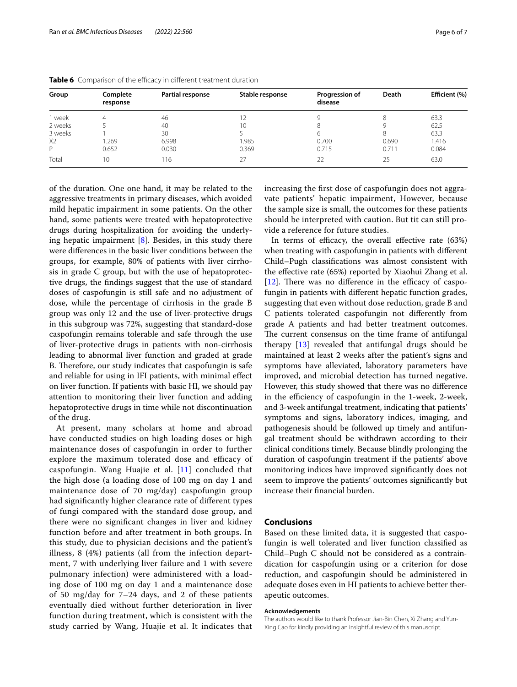| Group          | Complete<br>response | Partial response | Stable response | Progression of<br>disease | Death | Efficient (%) |
|----------------|----------------------|------------------|-----------------|---------------------------|-------|---------------|
| week           |                      | 46               |                 |                           |       | 63.3          |
| 2 weeks        |                      | 40               | 10              |                           |       | 62.5          |
| 3 weeks        |                      | 30               |                 |                           | 8     | 63.3          |
| X <sub>2</sub> | .269                 | 6.998            | .985            | 0.700                     | 0.690 | 1.416         |
| D              | 0.652                | 0.030            | 0.369           | 0.715                     | 0.711 | 0.084         |
| Total          | 10                   | 16               | 27              | 22                        | 25    | 63.0          |

<span id="page-5-0"></span>Table 6 Comparison of the efficacy in different treatment duration

of the duration. One one hand, it may be related to the aggressive treatments in primary diseases, which avoided mild hepatic impairment in some patients. On the other hand, some patients were treated with hepatoprotective drugs during hospitalization for avoiding the underlying hepatic impairment  $[8]$ . Besides, in this study there were diferences in the basic liver conditions between the groups, for example, 80% of patients with liver cirrhosis in grade C group, but with the use of hepatoprotective drugs, the fndings suggest that the use of standard doses of caspofungin is still safe and no adjustment of dose, while the percentage of cirrhosis in the grade B group was only 12 and the use of liver-protective drugs in this subgroup was 72%, suggesting that standard-dose caspofungin remains tolerable and safe through the use of liver-protective drugs in patients with non-cirrhosis leading to abnormal liver function and graded at grade B. Therefore, our study indicates that caspofungin is safe and reliable for using in IFI patients, with minimal efect on liver function. If patients with basic HI, we should pay attention to monitoring their liver function and adding hepatoprotective drugs in time while not discontinuation of the drug.

At present, many scholars at home and abroad have conducted studies on high loading doses or high maintenance doses of caspofungin in order to further explore the maximum tolerated dose and efficacy of caspofungin. Wang Huajie et al. [\[11\]](#page-6-9) concluded that the high dose (a loading dose of 100 mg on day 1 and maintenance dose of 70 mg/day) caspofungin group had signifcantly higher clearance rate of diferent types of fungi compared with the standard dose group, and there were no signifcant changes in liver and kidney function before and after treatment in both groups. In this study, due to physician decisions and the patient's illness, 8 (4%) patients (all from the infection department, 7 with underlying liver failure and 1 with severe pulmonary infection) were administered with a loading dose of 100 mg on day 1 and a maintenance dose of 50 mg/day for 7–24 days, and 2 of these patients eventually died without further deterioration in liver function during treatment, which is consistent with the study carried by Wang, Huajie et al. It indicates that increasing the frst dose of caspofungin does not aggravate patients' hepatic impairment, However, because the sample size is small, the outcomes for these patients should be interpreted with caution. But tit can still provide a reference for future studies.

In terms of efficacy, the overall effective rate  $(63%)$ when treating with caspofungin in patients with diferent Child–Pugh classifcations was almost consistent with the efective rate (65%) reported by Xiaohui Zhang et al.  $[12]$  $[12]$ . There was no difference in the efficacy of caspofungin in patients with diferent hepatic function grades, suggesting that even without dose reduction, grade B and C patients tolerated caspofungin not diferently from grade A patients and had better treatment outcomes. The current consensus on the time frame of antifungal therapy [[13\]](#page-6-11) revealed that antifungal drugs should be maintained at least 2 weeks after the patient's signs and symptoms have alleviated, laboratory parameters have improved, and microbial detection has turned negative. However, this study showed that there was no diference in the efficiency of caspofungin in the 1-week, 2-week, and 3-week antifungal treatment, indicating that patients' symptoms and signs, laboratory indices, imaging, and pathogenesis should be followed up timely and antifungal treatment should be withdrawn according to their clinical conditions timely. Because blindly prolonging the duration of caspofungin treatment if the patients' above monitoring indices have improved signifcantly does not seem to improve the patients' outcomes signifcantly but increase their fnancial burden.

# **Conclusions**

Based on these limited data, it is suggested that caspofungin is well tolerated and liver function classifed as Child–Pugh C should not be considered as a contraindication for caspofungin using or a criterion for dose reduction, and caspofungin should be administered in adequate doses even in HI patients to achieve better therapeutic outcomes.

#### **Acknowledgements**

The authors would like to thank Professor Jian-Bin Chen, Xi Zhang and Yun-Xing Cao for kindly providing an insightful review of this manuscript.